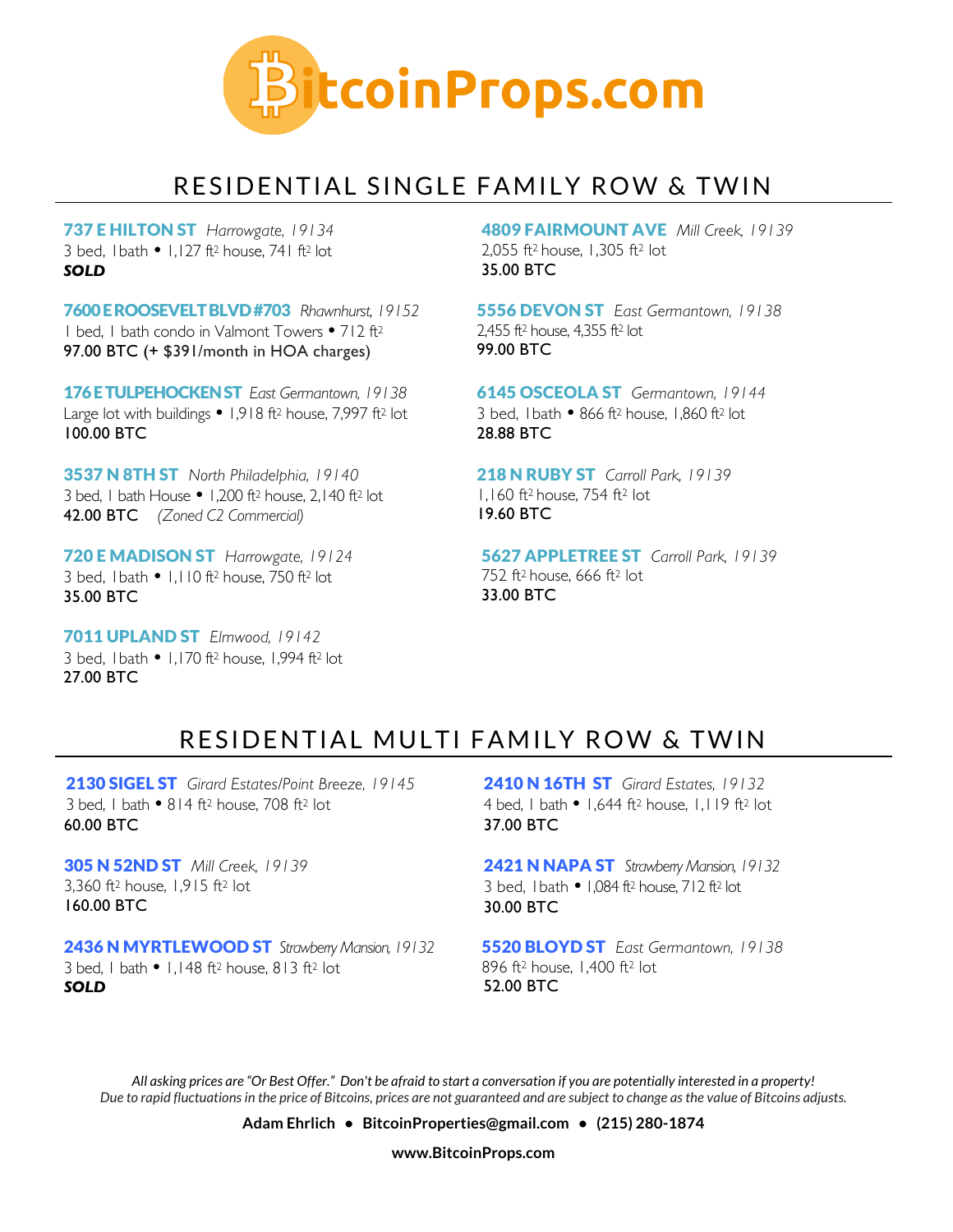

### RESIDENTIAL SINGLE FAMILY ROW & TWIN

737 E HILTON ST *Harrowgate, 19134* 3 bed,  $1 \text{ bath} \cdot 1.127 \text{ ft}^2$  house, 741 ft<sup>2</sup> lot. *SOLD*

7600 E ROOSEVELT BLVD#703 *Rhawnhurst, 19152* 1 bed, 1 bath condo in Valmont Towers • 712 ft<sup>2</sup> 97.00 BTC (+ \$391/month in HOA charges)

176 E TULPEHOCKEN ST *East Germantown, 19138* Large lot with buildings  $\bullet$  1,918 ft<sup>2</sup> house, 7,997 ft<sup>2</sup> lot 100.00 BTC

3537 N 8TH ST *North Philadelphia, 19140* 3 bed, 1 bath House  $\bullet$  1,200 ft<sup>2</sup> house, 2,140 ft<sup>2</sup> lot 42.00 BTC *(Zoned C2 Commercial)*

720 E MADISON ST *Harrowgate, 19124* 3 bed, 1bath  $\bullet$  1,110 ft<sup>2</sup> house, 750 ft<sup>2</sup> lot 35.00 BTC

7011 UPLAND ST *Elmwood, 19142* 3 bed, 1bath • 1,170 ft<sup>2</sup> house, 1,994 ft<sup>2</sup> lot 27.00 BTC

4809 FAIRMOUNT AVE *Mill Creek, 19139* 2,055 ft2 house, 1,305 ft2 lot 35.00 BTC

5556 DEVON ST *East Germantown, 19138* 2,455 ft2 house, 4,355 ft2 lot 99.00 BTC

6145 OSCEOLA ST *Germantown, 19144* 3 bed, 1 bath • 866 ft<sup>2</sup> house, 1,860 ft<sup>2</sup> lot 28.88 BTC

218 N RUBY ST *Carroll Park, 19139* 1,160 ft2 house, 754 ft2 lot 19.60 BTC

5627 APPLETREE ST *Carroll Park, 19139* 752 ft2 house, 666 ft2 lot 33.00 BTC

#### RESIDENTIAL MULTI FAMILY ROW & TWIN

2130 SIGEL ST *Girard Estates/Point Breeze, 19145* 3 bed, 1 bath  $\bullet$  814 ft<sup>2</sup> house, 708 ft<sup>2</sup> lot 60.00 BTC

305 N 52ND ST *Mill Creek, 19139* 3,360 ft2 house, 1,915 ft2 lot 160.00 BTC

2436 N MYRTLEWOOD ST *Strawberry Mansion, 19132* 3 bed, 1 bath  $\bullet$  1,148 ft<sup>2</sup> house, 813 ft<sup>2</sup> lot *SOLD*

2410 N 16TH ST *Girard Estates, 19132* 4 bed, 1 bath  $\bullet$  1.644 ft<sup>2</sup> house, 1,119 ft<sup>2</sup> lot 37.00 BTC

2421 N NAPA ST *Strawberry Mansion, 19132* 3 bed,  $1$  bath  $\bullet$  1,084 ft<sup>2</sup> house,  $712$  ft<sup>2</sup> lot 30.00 BTC

5520 BLOYD ST *East Germantown, 19138* 896 ft2 house, 1,400 ft2 lot 52.00 BTC

*All asking prices are "Or Best Offer." Don't be afraid to start a conversation if you are potentially interested in a property! Due to rapid fluctuations in the price of Bitcoins, prices are not guaranteed and are subject to change as the value of Bitcoins adjusts.* 

**Adam Ehrlich • BitcoinProperties@gmail.com • (215) 280-1874**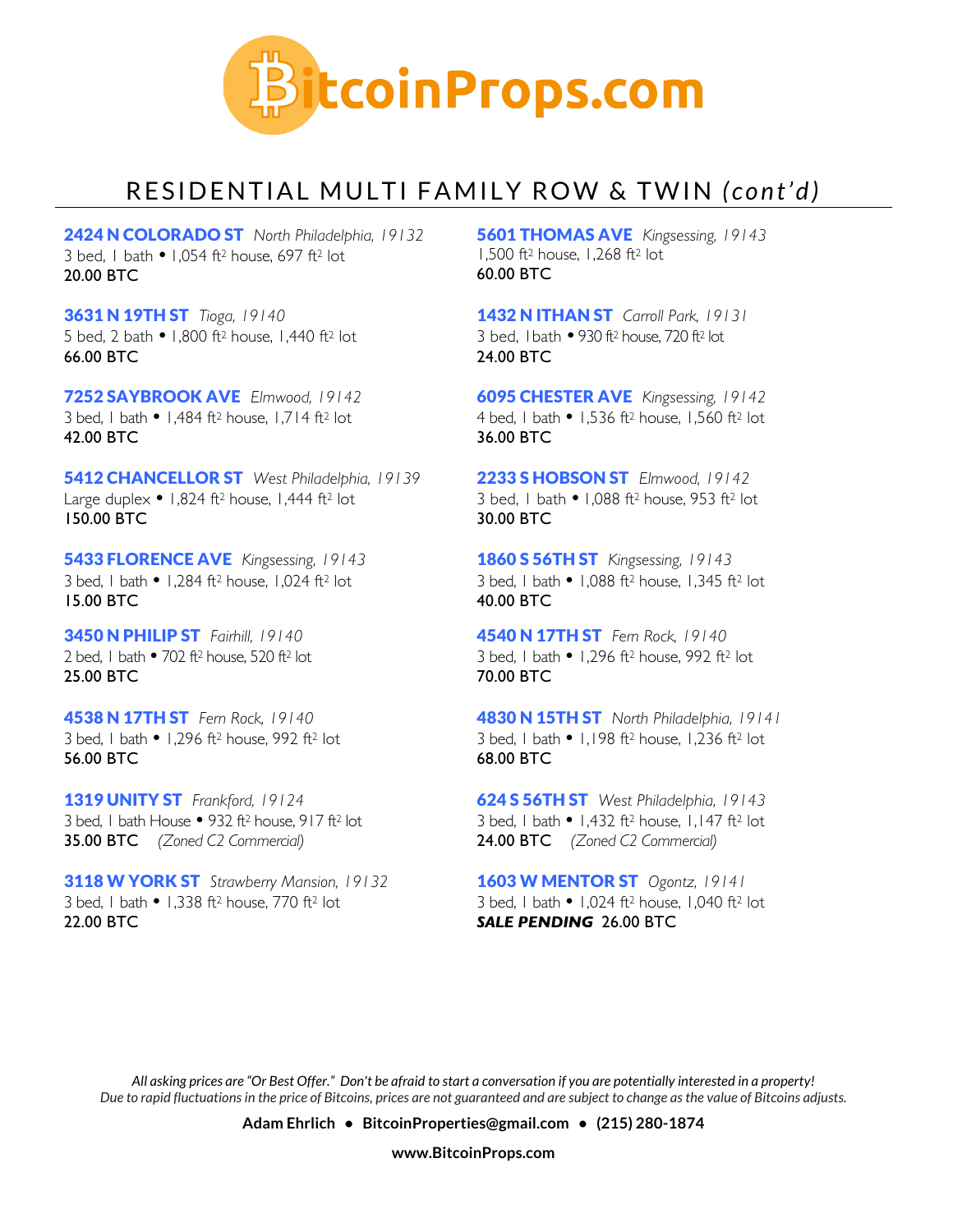

# RESIDENTIAL MULTI FAMILY ROW & TWIN *(cont'd)*

2424 N COLORADO ST *North Philadelphia, 19132* 3 bed, 1 bath • 1,054 ft<sup>2</sup> house, 697 ft<sup>2</sup> lot 20.00 BTC

3631 N 19TH ST *Tioga, 19140* 5 bed, 2 bath • 1,800 ft<sup>2</sup> house, 1,440 ft<sup>2</sup> lot 66.00 BTC

7252 SAYBROOK AVE *Elmwood, 19142* 3 bed, 1 bath  $\bullet$  1,484 ft<sup>2</sup> house, 1,714 ft<sup>2</sup> lot 42.00 BTC

5412 CHANCELLOR ST *West Philadelphia, 19139* Large duplex  $\bullet$  1,824 ft<sup>2</sup> house, 1,444 ft<sup>2</sup> lot 150.00 BTC

5433 FLORENCE AVE *Kingsessing, 19143* 3 bed, 1 bath  $\bullet$  1,284 ft<sup>2</sup> house, 1,024 ft<sup>2</sup> lot 15.00 BTC

3450 N PHILIP ST *Fairhill, 19140* 2 bed, 1 bath  $\bullet$  702 ft<sup>2</sup> house, 520 ft<sup>2</sup> lot 25.00 BTC

4538 N 17TH ST *Fern Rock, 19140* 3 bed, 1 bath  $\bullet$  1,296 ft<sup>2</sup> house, 992 ft<sup>2</sup> lot 56.00 BTC

1319 UNITY ST *Frankford, 19124* 3 bed, 1 bath House  $\bullet$  932 ft<sup>2</sup> house, 917 ft<sup>2</sup> lot 35.00 BTC *(Zoned C2 Commercial)*

3118 W YORK ST *Strawberry Mansion, 19132* 3 bed, 1 bath  $\bullet$  1,338 ft<sup>2</sup> house, 770 ft<sup>2</sup> lot 22.00 BTC

5601 THOMAS AVE *Kingsessing, 19143* 1,500 ft2 house, 1,268 ft2 lot 60.00 BTC

1432 N ITHAN ST *Carroll Park, 19131* 3 bed, 1bath 930 ft2 house, 720 ft2 lot 24.00 BTC

6095 CHESTER AVE *Kingsessing, 19142* 4 bed, 1 bath • 1,536 ft<sup>2</sup> house, 1,560 ft<sup>2</sup> lot 36.00 BTC

2233 S HOBSON ST *Elmwood, 19142* 3 bed, 1 bath • 1,088 ft<sup>2</sup> house, 953 ft<sup>2</sup> lot 30.00 BTC

1860 S 56TH ST *Kingsessing, 19143* 3 bed, 1 bath 1,088 ft2 house, 1,345 ft2 lot 40.00 BTC

4540 N 17TH ST *Fern Rock, 19140* 3 bed, 1 bath  $\bullet$  1,296 ft<sup>2</sup> house, 992 ft<sup>2</sup> lot 70.00 BTC

4830 N 15TH ST *North Philadelphia, 19141* 3 bed, 1 bath  $\bullet$  1,198 ft<sup>2</sup> house, 1,236 ft<sup>2</sup> lot 68.00 BTC

624 S 56TH ST *West Philadelphia, 19143* 3 bed, 1 bath  $\bullet$  1,432 ft<sup>2</sup> house, 1,147 ft<sup>2</sup> lot 24.00 BTC *(Zoned C2 Commercial)*

1603 W MENTOR ST *Ogontz, 19141* 3 bed, 1 bath  $\bullet$  1,024 ft<sup>2</sup> house, 1,040 ft<sup>2</sup> lot *SALE PENDING* 26.00 BTC

*All asking prices are "Or Best Offer." Don't be afraid to start a conversation if you are potentially interested in a property! Due to rapid fluctuations in the price of Bitcoins, prices are not guaranteed and are subject to change as the value of Bitcoins adjusts.* 

**Adam Ehrlich • BitcoinProperties@gmail.com • (215) 280-1874**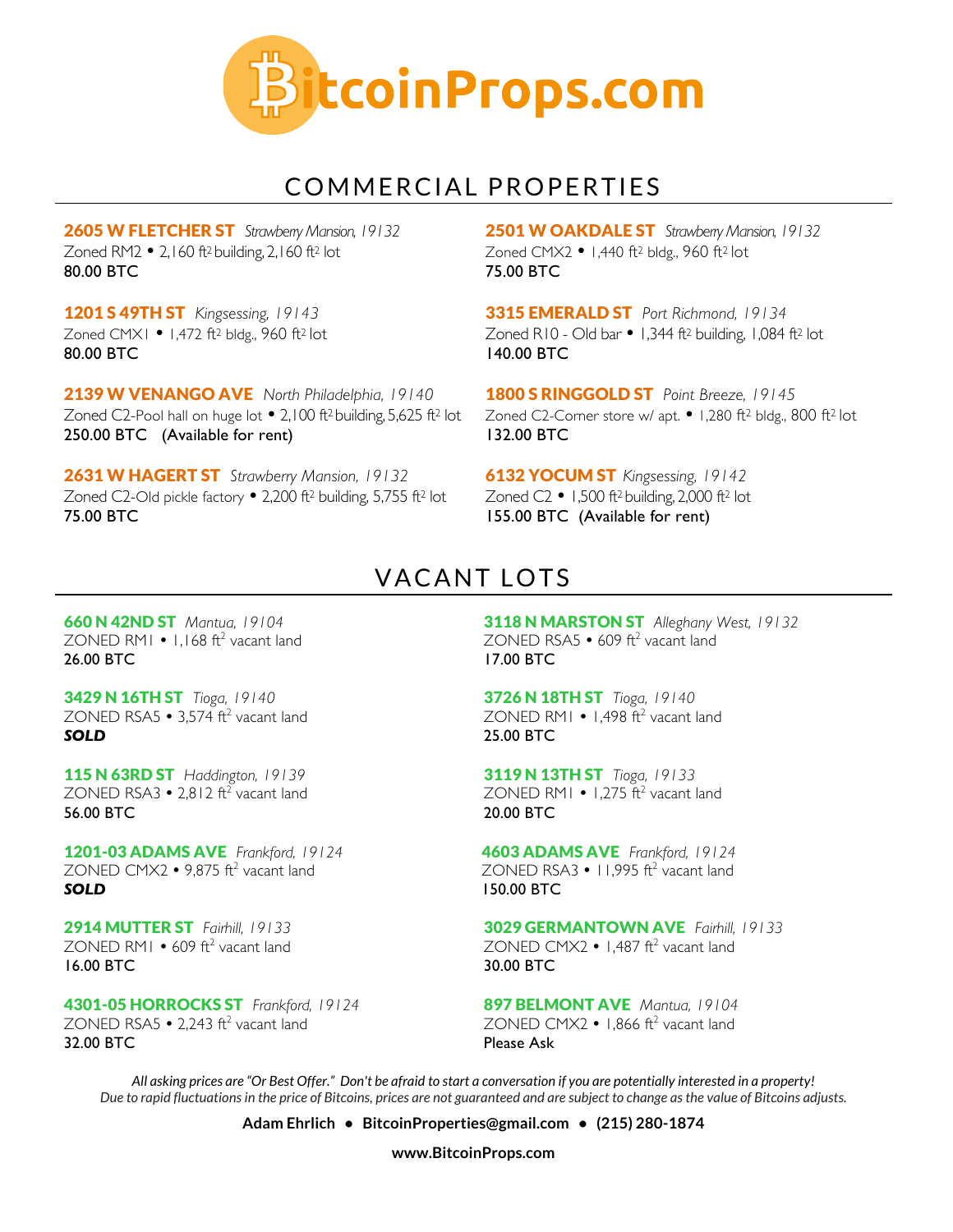

#### COMMERCIAL PROPERTIES

2605 W FLETCHER ST *Strawberry Mansion, 19132* Zoned RM2  $\bullet$  2,160 ft<sup>2</sup> building, 2,160 ft<sup>2</sup> lot 80.00 BTC

1201 S 49TH ST *Kingsessing, 19143* Zoned CMX1 • 1,472 ft<sup>2</sup> bldg., 960 ft<sup>2</sup> lot 80.00 BTC

2139 W VENANGO AVE *North Philadelphia, 19140* Zoned C2-Pool hall on huge lot  $\bullet$  2,100 ft<sup>2</sup> building, 5,625 ft<sup>2</sup> lot 250.00 BTC (Available for rent)

2631 W HAGERT ST *Strawberry Mansion, 19132* Zoned C2-Old pickle factory • 2,200 ft<sup>2</sup> building, 5,755 ft<sup>2</sup> lot 75.00 BTC

2501 W OAKDALE ST *Strawberry Mansion, 19132* Zoned CMX2 • 1,440 ft<sup>2</sup> bldg., 960 ft<sup>2</sup> lot 75.00 BTC

3315 EMERALD ST *Port Richmond, 19134* Zoned R10 - Old bar  $\bullet$  1,344 ft<sup>2</sup> building, 1,084 ft<sup>2</sup> lot 140.00 BTC

1800 S RINGGOLD ST *Point Breeze, 19145* Zoned C2-Corner store w/ apt. • 1,280 ft<sup>2</sup> bldg., 800 ft<sup>2</sup> lot 132.00 BTC

6132 YOCUM ST *Kingsessing, 19142* Zoned  $C2$   $\bullet$  1,500 ft<sup>2</sup> building, 2,000 ft<sup>2</sup> lot 155.00 BTC (Available for rent)

### VACANT LOTS

660 N 42ND ST *Mantua, 19104* ZONED RM1  $\cdot$  1,168 ft<sup>2</sup> vacant land 26.00 BTC

3429 N 16TH ST *Tioga, 19140* ZONED RSA5  $\cdot$  3.574 ft<sup>2</sup> vacant land *SOLD*

115 N 63RD ST *Haddington, 19139* ZONED RSA3  $\cdot$  2,812 ft<sup>2</sup> vacant land 56.00 BTC

1201-03 ADAMS AVE *Frankford, 19124* ZONED CMX2  $\cdot$  9.875 ft<sup>2</sup> vacant land *SOLD*

2914 MUTTER ST *Fairhill, 19133*  $ZONFD$  RM1  $\bullet$  609 ft<sup>2</sup> vacant land 16.00 BTC

4301-05 HORROCKS ST *Frankford, 19124*  $ZONFD$  RSA5  $\bullet$  2,243 ft<sup>2</sup> vacant land 32.00 BTC

3118 N MARSTON ST *Alleghany West, 19132* ZONED RSA5  $\cdot$  609 ft<sup>2</sup> vacant land 17.00 BTC

3726 N 18TH ST *Tioga, 19140* ZONED RM1  $\cdot$  1.498 ft<sup>2</sup> vacant land 25.00 BTC

3119 N 13TH ST *Tioga, 19133* ZONED RM1  $\cdot$  1,275  $\hat{\pi}^2$  vacant land 20.00 BTC

4603 ADAMS AVE *Frankford, 19124* ZONED RSA3  $\cdot$  11,995 ft<sup>2</sup> vacant land 150.00 BTC

3029 GERMANTOWN AVE *Fairhill, 19133* ZONED CMX2  $\cdot$  1.487 ft<sup>2</sup> vacant land 30.00 BTC

897 BELMONT AVE *Mantua, 19104*  $ZONFD$  CMX $2 \cdot 1866$  ft<sup>2</sup> vacant land Please Ask

*All asking prices are "Or Best Offer." Don't be afraid to start a conversation if you are potentially interested in a property! Due to rapid fluctuations in the price of Bitcoins, prices are not guaranteed and are subject to change as the value of Bitcoins adjusts.* 

**Adam Ehrlich • BitcoinProperties@gmail.com • (215) 280-1874**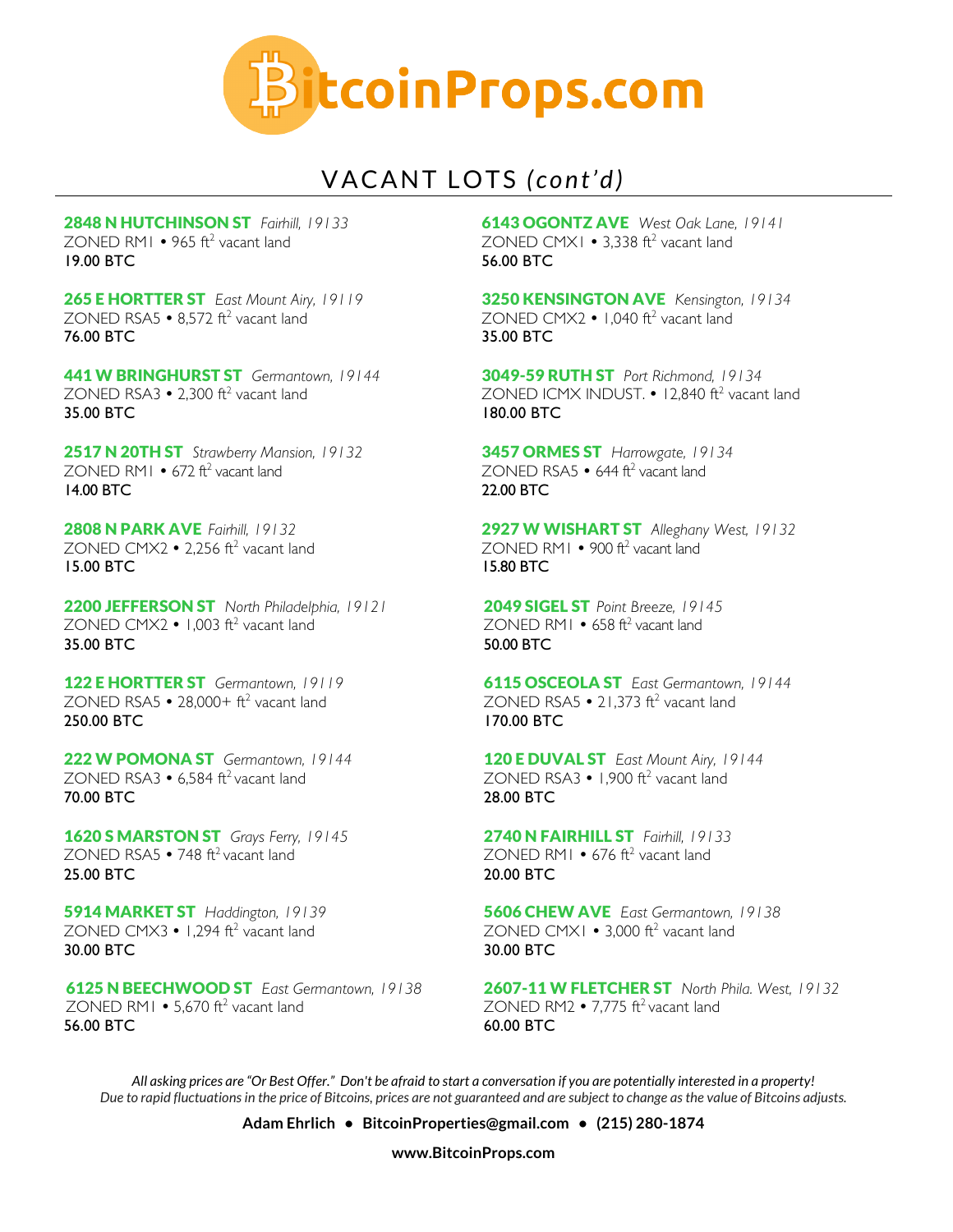

# VACANT LOTS *(cont'd)*

2848 N HUTCHINSON ST *Fairhill, 19133* ZONED RM1  $\cdot$  965 ft<sup>2</sup> vacant land 19.00 BTC

265 E HORTTER ST *East Mount Airy, 19119* ZONED RSA5  $\cdot$  8,572 ft<sup>2</sup> vacant land 76.00 BTC

441 W BRINGHURST ST *Germantown, 19144* ZONED RSA3  $\cdot$  2.300 ft<sup>2</sup> vacant land 35.00 BTC

2517 N 20TH ST *Strawberry Mansion, 19132* ZONED RM1  $\cdot$  672 ft<sup>2</sup> vacant land 14.00 BTC

2808 N PARK AVE *Fairhill, 19132* ZONED CMX2  $\cdot$  2,256 ft<sup>2</sup> vacant land 15.00 BTC

2200 JEFFERSON ST *North Philadelphia, 19121* ZONED CMX2  $\bullet$  1,003 ft<sup>2</sup> vacant land 35.00 BTC

122 E HORTTER ST *Germantown, 19119* ZONED RSA5  $\cdot$  28,000+ ft<sup>2</sup> vacant land 250.00 BTC

222 W POMONA ST *Germantown, 19144* ZONED RSA3  $\cdot$  6.584 ft<sup>2</sup> vacant land 70.00 BTC

1620 S MARSTON ST *Grays Ferry, 19145* ZONED RSA5  $\cdot$  748 ft<sup>2</sup> vacant land 25.00 BTC

5914 MARKET ST *Haddington, 19139* ZONED CMX3  $\cdot$  1,294 ft<sup>2</sup> vacant land 30.00 BTC

6125 N BEECHWOOD ST *East Germantown, 19138* ZONED RM1  $\cdot$  5,670 ft<sup>2</sup> vacant land 56.00 BTC

6143 OGONTZ AVE *West Oak Lane, 19141* ZONED CMX1  $\cdot$  3.338 ft<sup>2</sup> vacant land 56.00 BTC

3250 KENSINGTON AVE *Kensington, 19134* ZONED CMX2 • 1,040 ft<sup>2</sup> vacant land 35.00 BTC

3049-59 RUTH ST *Port Richmond, 19134* ZONED ICMX INDUST.  $\cdot$  12,840 ft<sup>2</sup> vacant land 180.00 BTC

3457 ORMES ST *Harrowgate, 19134* ZONED RSA5  $\cdot$  644 ft<sup>2</sup> vacant land 22.00 BTC

2927 W WISHART ST *Alleghany West, 19132* ZONED RM1  $\cdot$  900 ft<sup>2</sup> vacant land 15.80 BTC

2049 SIGEL ST *Point Breeze, 19145* ZONED RM1  $\cdot$  658 ft<sup>2</sup> vacant land 50.00 BTC

6115 OSCEOLA ST *East Germantown, 19144* ZONED RSA5  $\cdot$  21,373 ft<sup>2</sup> vacant land 170.00 BTC

120 E DUVAL ST *East Mount Airy, 19144* ZONED RSA3  $\cdot$  1.900 ft<sup>2</sup> vacant land 28.00 BTC

2740 N FAIRHILL ST *Fairhill, 19133* ZONED RM1  $\cdot$  676 ft<sup>2</sup> vacant land 20.00 BTC

5606 CHEW AVE *East Germantown, 19138* ZONED CMX1  $\cdot$  3,000 ft<sup>2</sup> vacant land 30.00 BTC

2607-11 W FLETCHER ST *North Phila. West, 19132* ZONED RM2  $\cdot$  7.775 ft<sup>2</sup> vacant land 60.00 BTC

*All asking prices are "Or Best Offer." Don't be afraid to start a conversation if you are potentially interested in a property! Due to rapid fluctuations in the price of Bitcoins, prices are not guaranteed and are subject to change as the value of Bitcoins adjusts.* 

**Adam Ehrlich • BitcoinProperties@gmail.com • (215) 280-1874**